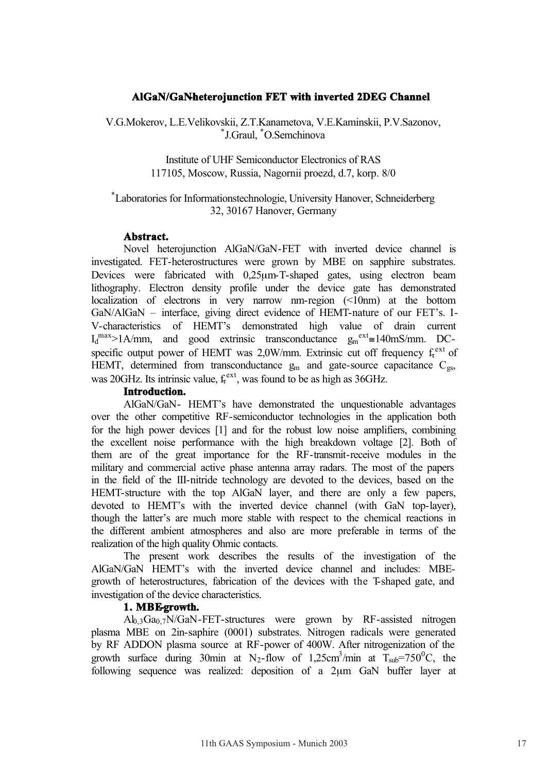# AlGaN/GaNheterojunction FET with inverted 2DEG Channel

V.G.Mokerov, L.E.Velikovskii, Z.T.Kanametova, V.E.Kaminskii, P.V.Sazonov, \* J.Graul, \* O.Semchinova

> Institute of UHF Semiconductor Electronics of RAS 117105, Moscow, Russia, Nagornii proezd, d.7, korp. 8/0

# \* Laboratories for Informationstechnologie, University Hanover, Schneiderberg 32, 30167 Hanover, Germany

### **Abstract .**

Novel heterojunction AlGaN/GaN-FET with inverted device channel is investigated. FET-heterostructures were grown by MBE on sapphire substrates. Devices were fabricated with 0,25µm-T-shaped gates, using electron beam lithography. Electron density profile under the device gate has demonstrated localization of electrons in very narrow nm-region (<10nm) at the bottom GaN/AlGaN – interface, giving direct evidence of HEMT-nature of our FET's. I-V-characteristics of HEMT's demonstrated high value of drain current  $I_d^{\text{max}} > 1$ A/mm, and good extrinsic transconductance  $g_m^{\text{ext}} \approx 140 \text{mS/mm}$ . DCspecific output power of HEMT was 2,0W/mm. Extrinsic cut off frequency  $f_t^{ext}$  of HEMT, determined from transconductance  $g_m$  and gate-source capacitance  $C_{gs}$ , was 20GHz. Its intrinsic value,  $f_t^{\text{ext}}$ , was found to be as high as 36GHz.

# Introduction.

AlGaN/GaN- HEMT's have demonstrated the unquestionable advantages over the other competitive RF-semiconductor technologies in the application both for the high power devices [1] and for the robust low noise amplifiers, combining the excellent noise performance with the high breakdown voltage [2]. Both of them are of the great importance for the RF-transmit-receive modules in the military and commercial active phase antenna array radars. The most of the papers in the field of the III-nitride technology are devoted to the devices, based on the HEMT-structure with the top AlGaN layer, and there are only a few papers, devoted to HEMT's with the inverted device channel (with GaN top-layer), though the latter's are much more stable with respect to the chemical reactions in the different ambient atmospheres and also are more preferable in terms of the realization of the high quality Ohmic contacts.

The present work describes the results of the investigation of the AlGaN/GaN HEMT's with the inverted device channel and includes: MBEgrowth of heterostructures, fabrication of the devices with the T-shaped gate, and investigation of the device characteristics.

### **1. MBE-growth.**

 $Al<sub>0.3</sub>Ga<sub>0.7</sub>N/GaN-FET-structures were grown by RF-assisted nitrogen$ plasma MBE on 2in-saphire (0001) substrates. Nitrogen radicals were generated by RF ADDON plasma source at RF-power of 400W. After nitrogenization of the growth surface during 30min at N<sub>2</sub>-flow of 1,25cm<sup>3</sup>/min at T<sub>sub</sub>=750<sup>0</sup>C, the following sequence was realized: deposition of a 2µm GaN buffer layer at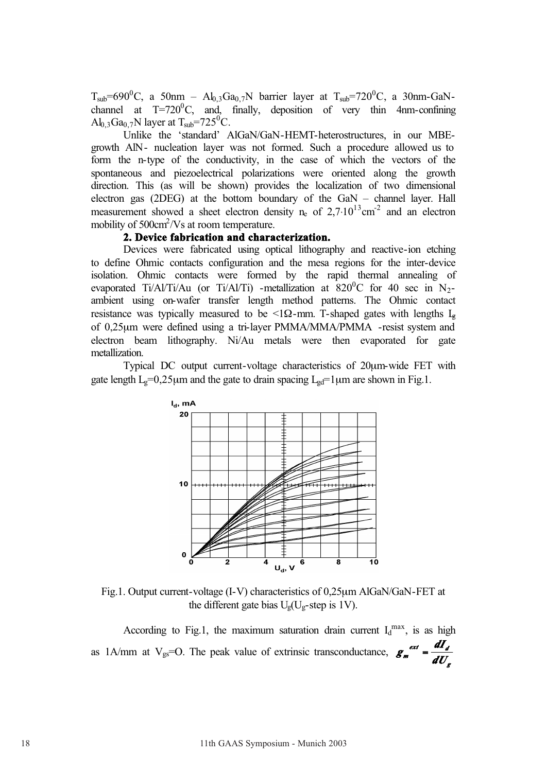$T_{sub} = 690^0C$ , a 50nm – Al<sub>0,3</sub>Ga<sub>0,7</sub>N barrier layer at  $T_{sub} = 720^0C$ , a 30nm-GaNchannel at  $T=720^0C$ , and, finally, deposition of very thin 4nm-confining  $\text{Al}_{0,3}\text{Ga}_{0,7}\text{N}$  layer at T<sub>sub</sub>=725<sup>0</sup>C.

Unlike the 'standard' AlGaN/GaN-HEMT-heterostructures, in our MBEgrowth AlN- nucleation layer was not formed. Such a procedure allowed us to form the n-type of the conductivity, in the case of which the vectors of the spontaneous and piezoelectrical polarizations were oriented along the growth direction. This (as will be shown) provides the localization of two dimensional electron gas (2DEG) at the bottom boundary of the GaN – channel layer. Hall measurement showed a sheet electron density  $n_e$  of  $2,7 \cdot 10^{13}$ cm<sup>-2</sup> and an electron mobility of  $500 \text{cm}^2/\text{Vs}$  at room temperature.

# **2. Device fabrication and characterization.**

Devices were fabricated using optical lithography and reactive-ion etching to define Ohmic contacts configuration and the mesa regions for the inter-device isolation. Ohmic contacts were formed by the rapid thermal annealing of evaporated Ti/Al/Ti/Au (or Ti/Al/Ti) -metallization at  $820^0$ C for 40 sec in N<sub>2</sub>ambient using on-wafer transfer length method patterns. The Ohmic contact resistance was typically measured to be <1 $\Omega$ -mm. T-shaped gates with lengths L<sub>g</sub> of 0,25µm were defined using a tri-layer PMMA/MMA/PMMA -resist system and electron beam lithography. Ni/Au metals were then evaporated for gate metallization.

Typical DC output current-voltage characteristics of 20µm-wide FET with gate length  $L_g=0.25\mu m$  and the gate to drain spacing  $L_{gd}=1\mu m$  are shown in Fig.1.



Fig.1. Output current-voltage (I-V) characteristics of 0,25µm AlGaN/GaN-FET at the different gate bias  $U_g(U_g\text{-step is }1V)$ .

According to Fig.1, the maximum saturation drain current  $I_d^{max}$ , is as high as  $1A/mm$  at  $V_{gs}=O$ . The peak value of extrinsic transconductance, *g ext d <sup>m</sup> dU*  $g_m^{ext} = \frac{dI}{dt}$